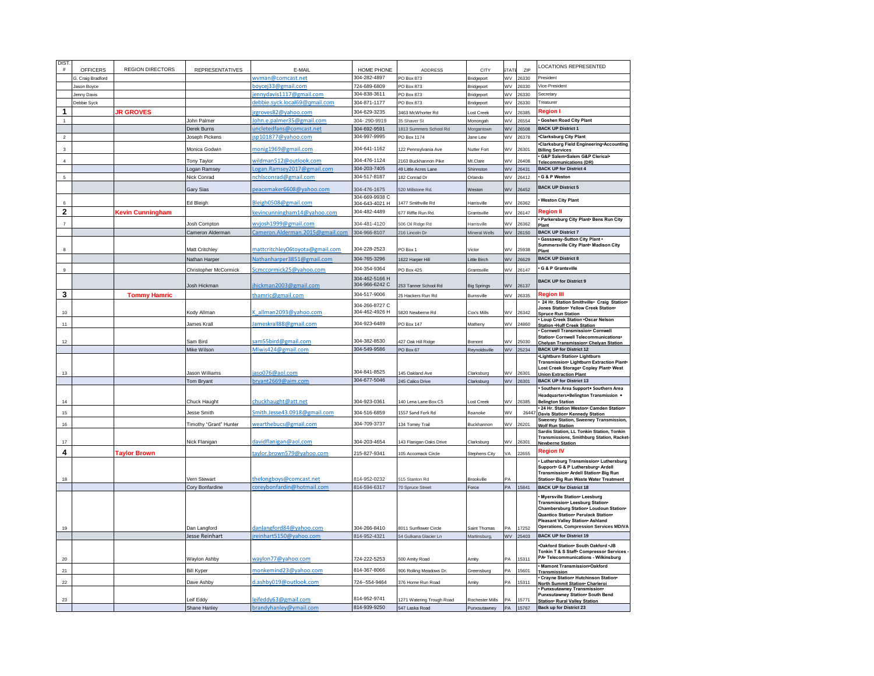| <b>DIST</b>        |                   |                         |                                 |                                                      |                                  |                                             |                                 |             |                | <b>LOCATIONS REPRESENTED</b>                                                    |
|--------------------|-------------------|-------------------------|---------------------------------|------------------------------------------------------|----------------------------------|---------------------------------------------|---------------------------------|-------------|----------------|---------------------------------------------------------------------------------|
| #                  | <b>OFFICERS</b>   | <b>REGION DIRECTORS</b> | <b>REPRESENTATIVES</b>          | F-MAIL                                               | HOME PHONE                       | ADDRESS                                     | CITY                            | <b>STAT</b> | 7IP            |                                                                                 |
|                    | 3. Craig Bradford |                         |                                 | wyman@comcast.net                                    | 304-282-4897                     | PO Box 873                                  | Bridgeport                      | WV          | 26330          | President                                                                       |
|                    | Jason Bovce       |                         |                                 | boycej33@gmail.com                                   | 724-689-6809                     | PO Box 873                                  | Bridgeport                      | WV          | 26330          | Vice-President                                                                  |
|                    | Jenny Davis       |                         |                                 | ennydavis1117@gmail.com                              | 304-838-3611                     | PO Box 873                                  | Bridgeport                      | WV          | 26330          | Secretary                                                                       |
|                    | Debbie Syck       |                         |                                 | debbie.syck.local69@gmail.com                        | 304-871-1177                     | PO Box 873                                  | Bridgeport                      | WV          | 26330          | Treasurer                                                                       |
| $\mathbf{1}$       |                   | <b>JR GROVES</b>        |                                 | rgroves82@yahoo.com                                  | 304-629-3235                     | 463 McWhorter Rd                            | ost Creek                       | WV          | 26385          | <b>Region</b> I                                                                 |
|                    |                   |                         | John Palmer                     | ohn.e.palmer35@gmail.com                             | 304-290-9919                     | 35 Shaver St                                | Monongah                        | WV          | 26554          | Goshen Road City Plant                                                          |
|                    |                   |                         | Derek Burns                     | ncletedfans@comcast.net                              | 304-692-9591                     | 1813 Summers School Rd                      | Morgantown                      | WV          | 26508          | <b>BACK UP District 1</b>                                                       |
| $\overline{2}$     |                   |                         | Joseph Pickens                  | sp101877@yahoo.com                                   | 304-997-9995                     | PO Box 1174                                 | Jane Lew                        | WV          | 26378          | <b>.Clarksburg City Plant</b>                                                   |
| $\mathbf{\hat{z}}$ |                   |                         | Monica Godwin                   | monig1969@gmail.com                                  | 304-641-1162                     | 122 Pennsylvania Ave                        | Nutter Fort                     | WV          | 26301          | Clarksburg Field Engineering*Accounting<br><b>Billing Services</b>              |
| $\overline{4}$     |                   |                         | Tony Taylor                     | wildman512@outlook.com                               | 304-476-1124                     | 2163 Buckhannon Pike                        | Mt.Clare                        | ٧V          | 26408          | G&P Salem.Salem G&P Clerical.                                                   |
|                    |                   |                         | Logan Ramsey                    | ogan.Ramsey2017@gmail.com                            | 304-203-7405                     | 49 Little Acres Lane                        | Shinnston                       | WV          | 26431          | <b>Telecommunications (DR)</b><br><b>BACK UP for District 4</b>                 |
| 5                  |                   |                         | Nick Conrad                     | nchisconrad@gmail.com                                | 304-517-8187                     | 182 Conrad Dr                               | Orlando                         | WV          | 26412          | G & P Weston                                                                    |
|                    |                   |                         |                                 |                                                      |                                  |                                             |                                 |             |                | <b>BACK UP District 5</b>                                                       |
|                    |                   |                         | <b>Gary Sias</b>                | beacemaker6608@yahoo.com                             | 304-476-1675                     | 520 Millstone Rd.                           | Weston                          | WV          | 26452          |                                                                                 |
|                    |                   |                         | Ed Bleigh                       | Bleigh0508@gmail.com                                 | 304-669-9938 C<br>304-643-4021 H | 1477 Smithville Rd                          | Harrisville                     | VV          | 26362          | <b>Weston City Plant</b>                                                        |
| 2                  |                   | Kevin Cunningham        |                                 | kevincunningham14@yahoo.com                          | 304-482-4489                     |                                             | Grantsville                     | WV          | 26147          | Reaion II                                                                       |
|                    |                   |                         |                                 |                                                      |                                  | 677 Riffle Run Rd.                          |                                 |             |                | · Parkersburg City Plant - Bens Run City                                        |
|                    |                   |                         | Josh Compton                    | wyjosh1999@gmail.com                                 | 304-481-4120                     | 506 Oil Ridge Rd                            | <b>Harrisville</b>              | WV          | 26362          | Plant                                                                           |
|                    |                   |                         | Cameron Alderman                | Cameron.Alderman.2015@gmail.com                      | 304-966-8107                     | 216 Lincoln Dr                              | Mineral Wells                   | WV          | 26150          | <b>BACK UP District 7</b>                                                       |
|                    |                   |                         |                                 |                                                      |                                  |                                             |                                 |             |                | Gassaway-Sutton City Plant .<br>Summersville City Plant• Madison City           |
|                    |                   |                         | Matt Critchley                  | mattcritchley06toyota@gmail.com                      | 304-228-2523                     | PO Box 1                                    | Victor                          | wv          | 25938          | Plant                                                                           |
|                    |                   |                         | Nathan Harper                   | Nathanharper3851@gmail.com                           | 304-765-3296                     | 1622 Harper Hill                            | ittle Birch                     | WV          | 26629          | <b>BACK UP District 8</b>                                                       |
| $\mathfrak{g}$     |                   |                         | <b>Christopher McCormick</b>    | Scmccormick25@yahoo.com                              | 304-354-9364                     | PO Box 425                                  | Grantsville                     | WV          | 26147          | G & P Grantsville                                                               |
|                    |                   |                         |                                 |                                                      | 304-462-5166 H                   |                                             |                                 |             |                | <b>BACK UP for District 9</b>                                                   |
|                    |                   |                         | Josh Hickman                    | ihickman2003@gmail.com                               | 304-966-6242 C                   | 253 Tanner School Rd                        | <b>Big Springs</b>              | wv          | 26137          |                                                                                 |
| 3                  |                   | <b>Tommy Hamric</b>     |                                 | thamric@gmail.com                                    | 304-517-9006                     | 25 Hackers Run Rd                           | Burnsville                      | WV          | 26335          | <b>Region III</b>                                                               |
|                    |                   |                         |                                 |                                                      | 304-266-8727 C                   |                                             |                                 |             |                | 24 Hr. Station Smithville• Craig Station•                                       |
| $10$               |                   |                         | Kody Allman                     | K allman2093@yahoo.com                               | 304-462-4926 H                   | 5820 Newberne Rd                            | Cox's Mills                     | WV          | 26342          | Jones Station . Yellow Creek Station .<br><b>Spruce Run Station</b>             |
| 11                 |                   |                         | James Krall                     | ameskrall88@gmail.com                                | 304-923-6489                     | PO Box 147                                  | Matheny                         | WV          | 24860          | . Loup Creek Station .Oscar Nelson                                              |
|                    |                   |                         |                                 |                                                      |                                  |                                             |                                 |             |                | <b>Station .Huff Creek Station</b><br>. Cornwell Transmission. Cornwell         |
| 12 <sup>12</sup>   |                   |                         | Sam Bird                        | am55bird@gmail.com                                   | 304-382-8530                     | 427 Oak Hill Ridge                          | Bomont                          | WV          | 25030          | Station• Cornwell Telecommunications•                                           |
|                    |                   |                         |                                 | Mlwis424@gmail.com                                   | 304-549-9586                     |                                             |                                 |             |                | Chelyan Transmission• Chelyan Station<br><b>BACK UP for District 12</b>         |
|                    |                   |                         | Mike Wilson                     |                                                      |                                  | PO Box 67                                   | Reynoldsville                   | WV          | 25234          | -Lightburn Station- Lightburn                                                   |
|                    |                   |                         |                                 |                                                      |                                  |                                             |                                 |             |                | Transmission• Lightburn Extraction Plant•                                       |
| 13                 |                   |                         | Jason Williams                  | aso076@aol.com                                       | 304-841-8525                     | 45 Oakland Ave                              | Clarksburg                      | w           | 26301          | Lost Creek Storage• Copley Plant• West<br><b>Union Extraction Plant</b>         |
|                    |                   |                         | Tom Bryant                      | oryant2669@aim.com                                   | 304-677-5046                     | 245 Calico Drive                            | Clarksburg                      | WV          | 26301          | <b>BACK UP for District 13</b>                                                  |
|                    |                   |                         |                                 |                                                      |                                  |                                             |                                 |             |                | Southern Area Support • Southern Area                                           |
| 14                 |                   |                         | Chuck Haught                    | chuckhaught@att.net                                  | 304-923-0361                     | 140 Lena Lane Box C5                        | Lost Creek                      | WV          | 26385          | Headquarters.Belington Transmission .                                           |
|                    |                   |                         |                                 |                                                      |                                  |                                             |                                 |             |                | <b>Belington Station</b><br>24 Hr. Station Weston . Camden Station .            |
| 15                 |                   |                         | lesse Smith                     | Smith.Jesse43.0918@gmail.com                         | 304-516-6859                     | 1557 Sand Fork Rd                           | Roanoke                         | WV          | 2644           | Davis Station - Kennedy Station                                                 |
| 16                 |                   |                         | Timothy "Grant" Hunter          | wearthebucs@gmail.com                                | 304-709-3737                     | 34 Tomey Trail                              | Buckhannon                      | w           | 6201           | Sweeney Station, Sweeney Transmission,<br><b>Wolf Run Station</b>               |
|                    |                   |                         |                                 |                                                      |                                  |                                             |                                 |             |                | Sardis Station, LL Tonkin Station, Tonkin                                       |
| $17\,$             |                   |                         | Nick Flanigan                   | davidflanigan@aol.com                                | 304-203-4654                     | 143 Flanigan Oaks Drive                     | Clarksburg                      | WV          | 26301          | Transmissions, Smithburg Station, Racket-<br><b>Newberne Station</b>            |
| 4                  |                   |                         |                                 |                                                      |                                  |                                             |                                 |             | 22655          | <b>Region IV</b>                                                                |
|                    |                   | <b>Taylor Brown</b>     |                                 | aylor.brown579@yahoo.com                             | 215-827-9341                     | 105 Accomack Circle                         | <b>Stephens City</b>            | VА          |                | Luthersburg Transmission• Luthersburg                                           |
|                    |                   |                         |                                 |                                                      |                                  |                                             |                                 |             |                | Support G & P Luthersburg Ardell                                                |
| 18                 |                   |                         |                                 |                                                      | 814-952-0232                     | 515 Stanton Rd                              | Brookville                      |             |                | Transmission• Ardell Station• Big Run<br>Station• Big Run Waste Water Treatment |
|                    |                   |                         | Vern Stewart<br>Cory Bonfardine | helongboys@comcast.net<br>coreybonfardin@hotmail.com | 814-594-6317                     | 70 Spruce Street                            | Force                           | PA          | 15841          | <b>BACK UP for District 18</b>                                                  |
|                    |                   |                         |                                 |                                                      |                                  |                                             |                                 |             |                | Myersville Station• Leesburg                                                    |
|                    |                   |                         |                                 |                                                      |                                  |                                             |                                 |             |                | Transmission• Leesburg Station•                                                 |
|                    |                   |                         |                                 |                                                      |                                  |                                             |                                 |             |                | Chambersburg Station• Loudoun Station•                                          |
|                    |                   |                         |                                 |                                                      |                                  |                                             |                                 |             |                | Quantico Station - Perulack Station -<br>Pleasant Valley Station• Ashland       |
| 19                 |                   |                         | Dan Langford                    | danlangford84@yahoo.com                              | 304-266-8410                     | 3011 Sunflower Circle                       | Saint Thomas                    |             | 17252          | <b>Operations, Compression Services MD/VA</b>                                   |
|                    |                   |                         | lesse Reinhart                  | reinhart5150@yahoo.com                               | 314-952-4321                     | 54 Gulkana Glacier Ln                       | Martinsburg,                    | WV          | 25403          | <b>BACK UP for District 19</b>                                                  |
|                    |                   |                         |                                 |                                                      |                                  |                                             |                                 |             |                | Oakford Station . South Oakford .JB                                             |
|                    |                   |                         |                                 |                                                      |                                  |                                             |                                 |             |                | Tonkin T & S Staff• Compressor Services                                         |
| 20                 |                   |                         | Waylon Ashby                    | waylon77@yahoo.com                                   | 724-222-5253                     | 500 Amity Road                              | Amity                           | PА          | 15311          | PA• Telecommunications - Wilkinsburg                                            |
|                    |                   |                         |                                 |                                                      |                                  |                                             |                                 |             |                | · Mamont Transmission-Oakford                                                   |
| 21                 |                   |                         |                                 |                                                      | 814-367-8066                     |                                             | Greensburg                      | PΔ          | 15601          |                                                                                 |
|                    |                   |                         | <b>Bill Kyper</b>               | monkemind23@yahoo.com                                |                                  | 906 Rolling Meadows Dr                      |                                 |             |                | Transmission<br>Crayne Station . Hutchinson Station .                           |
| 22                 |                   |                         | Dave Ashby                      | d.ashbv019@outlook.com                               | 724-554-9464                     | 376 Horne Run Road                          | Amity                           | PA          | 15311          | North Summit Station . Charleroi                                                |
|                    |                   |                         |                                 |                                                      |                                  |                                             |                                 |             |                | Punxsutawney Transmission-<br>Punxsutawney Station. South Bend                  |
| 23                 |                   |                         | eif Eddy<br><b>Shane Hanley</b> | leifeddy63@gmail.com<br>brandyhanley@ymail.com       | 814-952-9741<br>814-939-9250     | 1271 Watering Trough Road<br>547 Laska Road | Rochester Mills<br>Punxsutawnev | PA<br>PA    | 15771<br>15767 | Station• Rural Valley Station<br><b>Back up for District 23</b>                 |